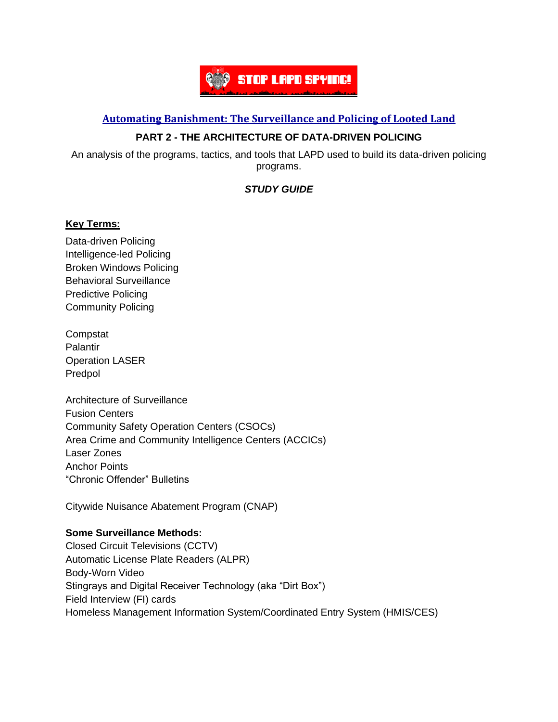

### **Automating [Banishment:](https://automatingbanishment.org/) The Surveillance and Policing of Looted Land**

# **PART 2 - THE ARCHITECTURE OF DATA-DRIVEN POLICING**

An analysis of the programs, tactics, and tools that LAPD used to build its data-driven policing programs.

# *STUDY GUIDE*

### **Key Terms:**

Data-driven Policing Intelligence-led Policing Broken Windows Policing Behavioral Surveillance Predictive Policing Community Policing

**Compstat** Palantir Operation LASER Predpol

Architecture of Surveillance Fusion Centers Community Safety Operation Centers (CSOCs) Area Crime and Community Intelligence Centers (ACCICs) Laser Zones Anchor Points "Chronic Offender" Bulletins

Citywide Nuisance Abatement Program (CNAP)

#### **Some Surveillance Methods:**

Closed Circuit Televisions (CCTV) Automatic License Plate Readers (ALPR) Body-Worn Video Stingrays and Digital Receiver Technology (aka "Dirt Box") Field Interview (FI) cards Homeless Management Information System/Coordinated Entry System (HMIS/CES)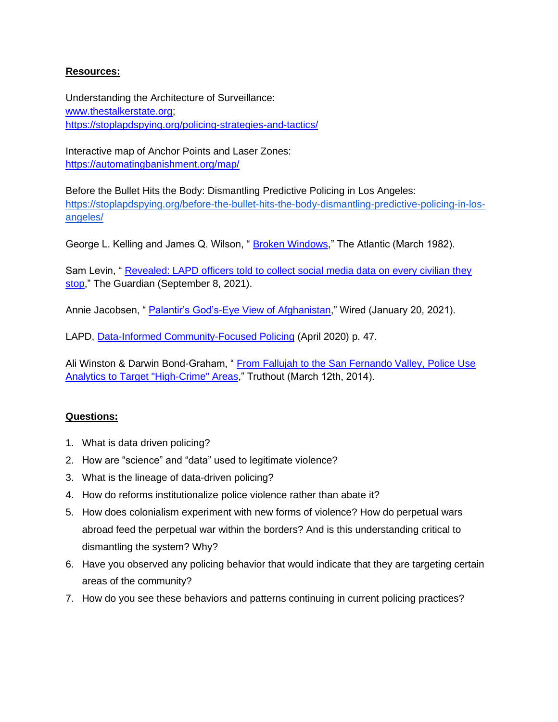### **Resources:**

Understanding the Architecture of Surveillance: [www.thestalkerstate.org;](http://www.thestalkerstate.org/) <https://stoplapdspying.org/policing-strategies-and-tactics/>

Interactive map of Anchor Points and Laser Zones: <https://automatingbanishment.org/map/>

Before the Bullet Hits the Body: Dismantling Predictive Policing in Los Angeles: [https://stoplapdspying.org/before-the-bullet-hits-the-body-dismantling-predictive-policing-in-los](https://stoplapdspying.org/before-the-bullet-hits-the-body-dismantling-predictive-policing-in-los-angeles/)[angeles/](https://stoplapdspying.org/before-the-bullet-hits-the-body-dismantling-predictive-policing-in-los-angeles/)

George L. Kelling and James Q. Wilson, "[Broken Windows,](https://www.theatlantic.com/magazine/archive/1982/03/broken-windows/304465/)" The Atlantic (March 1982).

Sam Levin, " Revealed: LAPD officers told to collect social media data on every civilian they [stop,](https://www.theguardian.com/us-news/2021/sep/08/revealed-los-angeles-police-officers-gathering-social-media)" The Guardian (September 8, 2021).

Annie Jacobsen, "[Palantir's God's-Eye View of Afghanistan,](https://www.wired.com/story/palantirs-gods-eye-view-of-afghanistan/)" Wired (January 20, 2021).

LAPD, [Data-Informed Community-Focused Policing](http://lapd-assets.lapdonline.org/assets/pdf/Data-Informed-Policing.pdf) (April 2020) p. 47.

Ali Winston & Darwin Bond-Graham, " [From Fallujah to the San Fernando Valley, Police Use](https://truthout.org/articles/predictive-policing-from-fallujah-to-the-san-fernando-valley-military-grade-software-used-to-wage-wars-abroad-is-making-its-impact-on-americas-streets/)  [Analytics to Target "High-Crime" Areas,](https://truthout.org/articles/predictive-policing-from-fallujah-to-the-san-fernando-valley-military-grade-software-used-to-wage-wars-abroad-is-making-its-impact-on-americas-streets/)" Truthout (March 12th, 2014).

# **Questions:**

- 1. What is data driven policing?
- 2. How are "science" and "data" used to legitimate violence?
- 3. What is the lineage of data-driven policing?
- 4. How do reforms institutionalize police violence rather than abate it?
- 5. How does colonialism experiment with new forms of violence? How do perpetual wars abroad feed the perpetual war within the borders? And is this understanding critical to dismantling the system? Why?
- 6. Have you observed any policing behavior that would indicate that they are targeting certain areas of the community?
- 7. How do you see these behaviors and patterns continuing in current policing practices?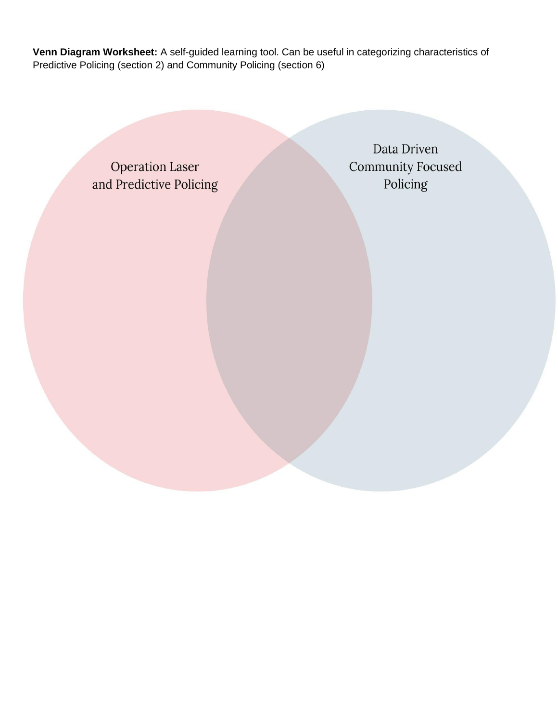**Venn Diagram Worksheet:** A self-guided learning tool. Can be useful in categorizing characteristics of Predictive Policing (section 2) and Community Policing (section 6)

> **Operation Laser** and Predictive Policing

Data Driven **Community Focused** Policing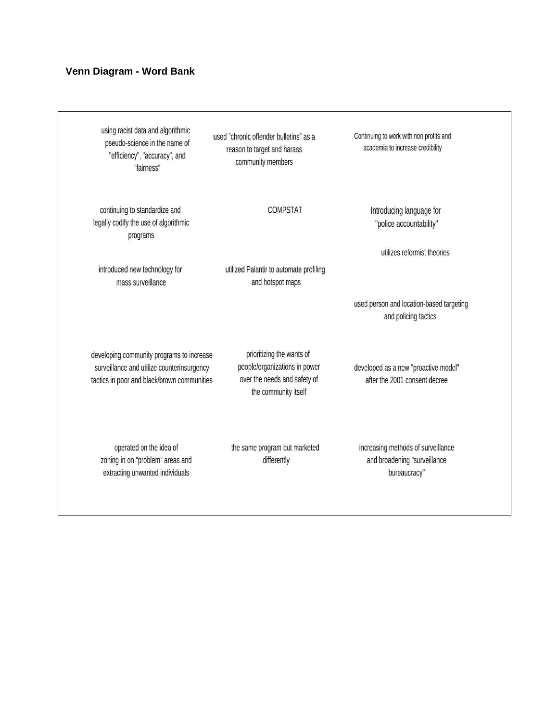#### Venn Diagram - Word Bank

using racist data and algorithmic pseudo-science in the name of "efficiency", "accuracy", and "fairness"

continuing to standardize and

legally codify the use of algorithmic

programs

introduced new technology for

mass surveillance

used "chronic offender bulletins" as a reason to target and harass community members

**COMPSTAT** 

utilized Palantir to automate profiling

and hotspot maps

Continuing to work with non profits and academia to increase credibility

> Introducing language for "police accountability"

> > utilizes reformist theories

used person and location-based targeting and policing tactics

developing community programs to increase surveillance and utilize counterinsurgency tactics in poor and black/brown communities

prioritizing the wants of people/organizations in power over the needs and safety of the community itself

operated on the idea of zoning in on "problem" areas and extracting unwanted individuals

the same program but marketed differently

increasing methods of surveillance

developed as a new "proactive model"

after the 2001 consent decree

and broadening "surveillance bureaucracy"